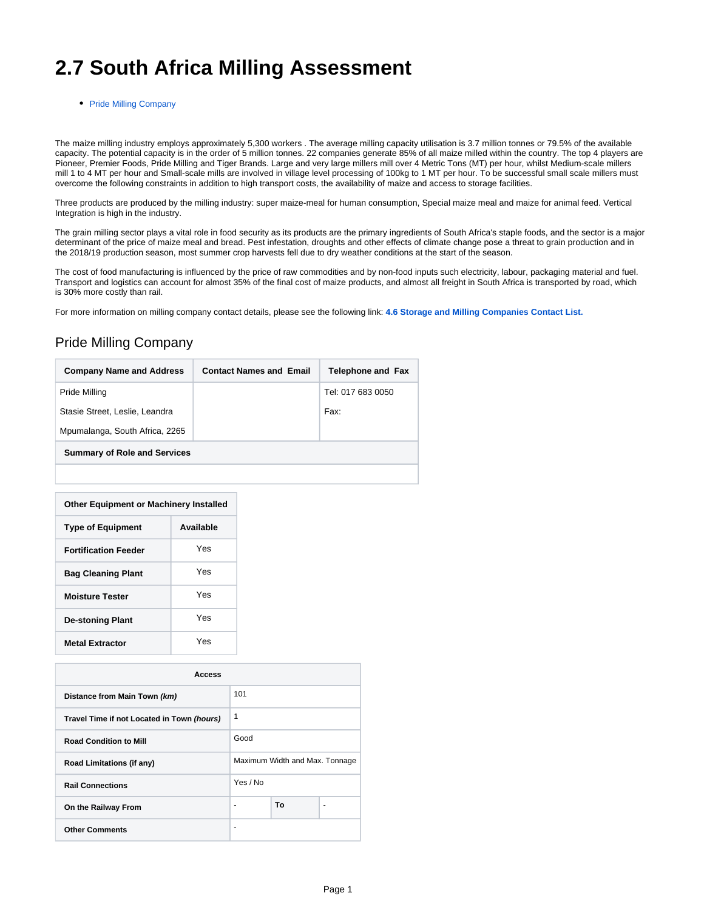## **2.7 South Africa Milling Assessment**

• [Pride Milling Company](#page-0-0)

The maize milling industry employs approximately 5,300 workers . The average milling capacity utilisation is 3.7 million tonnes or 79.5% of the available capacity. The potential capacity is in the order of 5 million tonnes. 22 companies generate 85% of all maize milled within the country. The top 4 players are Pioneer, Premier Foods, Pride Milling and Tiger Brands. Large and very large millers mill over 4 Metric Tons (MT) per hour, whilst Medium-scale millers mill 1 to 4 MT per hour and Small-scale mills are involved in village level processing of 100kg to 1 MT per hour. To be successful small scale millers must overcome the following constraints in addition to high transport costs, the availability of maize and access to storage facilities.

Three products are produced by the milling industry: super maize-meal for human consumption, Special maize meal and maize for animal feed. Vertical Integration is high in the industry.

The grain milling sector plays a vital role in food security as its products are the primary ingredients of South Africa's staple foods, and the sector is a major determinant of the price of maize meal and bread. Pest infestation, droughts and other effects of climate change pose a threat to grain production and in the 2018/19 production season, most summer crop harvests fell due to dry weather conditions at the start of the season.

The cost of food manufacturing is influenced by the price of raw commodities and by non-food inputs such electricity, labour, packaging material and fuel. Transport and logistics can account for almost 35% of the final cost of maize products, and almost all freight in South Africa is transported by road, which is 30% more costly than rail.

For more information on milling company contact details, please see the following link: **[4.6 Storage and Milling Companies Contact List.](https://dlca.logcluster.org/display/DLCA/4.6+South+Africa+Storage+and+Milling+Companies+Contact+List)**

## <span id="page-0-0"></span>Pride Milling Company

| <b>Company Name and Address</b>     | <b>Contact Names and Email</b> | <b>Telephone and Fax</b> |  |  |
|-------------------------------------|--------------------------------|--------------------------|--|--|
| Pride Milling                       |                                | Tel: 017 683 0050        |  |  |
| Stasie Street, Leslie, Leandra      |                                | Fax:                     |  |  |
| Mpumalanga, South Africa, 2265      |                                |                          |  |  |
| <b>Summary of Role and Services</b> |                                |                          |  |  |
|                                     |                                |                          |  |  |

| <b>Other Equipment or Machinery Installed</b> |           |  |  |
|-----------------------------------------------|-----------|--|--|
| <b>Type of Equipment</b>                      | Available |  |  |
| <b>Fortification Feeder</b>                   | Yes       |  |  |
| <b>Bag Cleaning Plant</b>                     | Yes       |  |  |
| <b>Moisture Tester</b>                        | Yes       |  |  |
| <b>De-stoning Plant</b>                       | Yes       |  |  |
| <b>Metal Extractor</b>                        | Yes       |  |  |

| Access                                     |                                |    |  |  |
|--------------------------------------------|--------------------------------|----|--|--|
| Distance from Main Town (km)               | 101                            |    |  |  |
| Travel Time if not Located in Town (hours) | 1                              |    |  |  |
| <b>Road Condition to Mill</b>              | Good                           |    |  |  |
| Road Limitations (if any)                  | Maximum Width and Max. Tonnage |    |  |  |
| <b>Rail Connections</b>                    | Yes / No                       |    |  |  |
| On the Railway From                        |                                | Тο |  |  |
| <b>Other Comments</b>                      |                                |    |  |  |